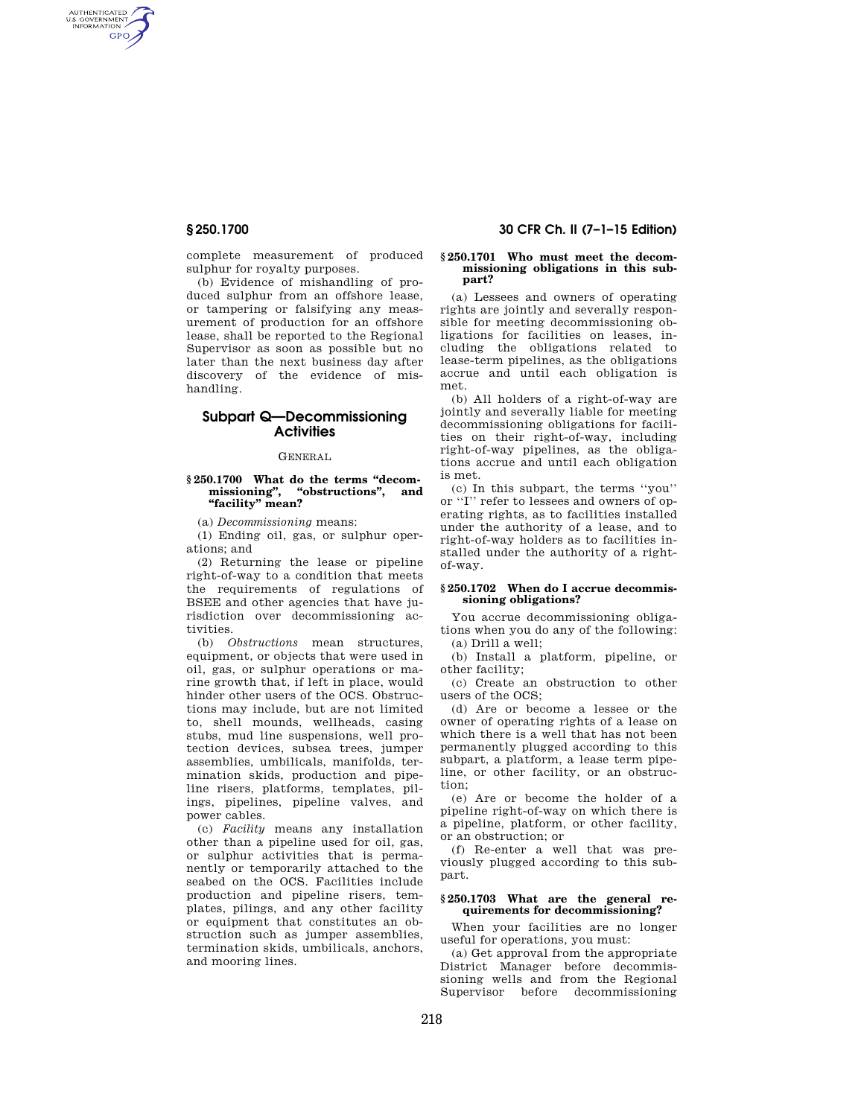AUTHENTICATED<br>U.S. GOVERNMENT<br>INFORMATION **GPO** 

> complete measurement of produced sulphur for royalty purposes.

> (b) Evidence of mishandling of produced sulphur from an offshore lease, or tampering or falsifying any measurement of production for an offshore lease, shall be reported to the Regional Supervisor as soon as possible but no later than the next business day after discovery of the evidence of mishandling.

# **Subpart Q—Decommissioning Activities**

## GENERAL

## **§ 250.1700 What do the terms ''decommissioning'', ''obstructions'', and ''facility'' mean?**

(a) *Decommissioning* means:

(1) Ending oil, gas, or sulphur operations; and

(2) Returning the lease or pipeline right-of-way to a condition that meets the requirements of regulations of BSEE and other agencies that have jurisdiction over decommissioning activities.

(b) *Obstructions* mean structures, equipment, or objects that were used in oil, gas, or sulphur operations or marine growth that, if left in place, would hinder other users of the OCS. Obstructions may include, but are not limited to, shell mounds, wellheads, casing stubs, mud line suspensions, well protection devices, subsea trees, jumper assemblies, umbilicals, manifolds, termination skids, production and pipeline risers, platforms, templates, pilings, pipelines, pipeline valves, and power cables.

(c) *Facility* means any installation other than a pipeline used for oil, gas, or sulphur activities that is permanently or temporarily attached to the seabed on the OCS. Facilities include production and pipeline risers, templates, pilings, and any other facility or equipment that constitutes an obstruction such as jumper assemblies, termination skids, umbilicals, anchors, and mooring lines.

## **§ 250.1700 30 CFR Ch. II (7–1–15 Edition)**

#### **§ 250.1701 Who must meet the decommissioning obligations in this subpart?**

(a) Lessees and owners of operating rights are jointly and severally responsible for meeting decommissioning obligations for facilities on leases, including the obligations related to lease-term pipelines, as the obligations accrue and until each obligation is met.

(b) All holders of a right-of-way are jointly and severally liable for meeting decommissioning obligations for facilities on their right-of-way, including right-of-way pipelines, as the obligations accrue and until each obligation is met.

(c) In this subpart, the terms ''you'' or ''I'' refer to lessees and owners of operating rights, as to facilities installed under the authority of a lease, and to right-of-way holders as to facilities installed under the authority of a rightof-way.

## **§ 250.1702 When do I accrue decommissioning obligations?**

You accrue decommissioning obligations when you do any of the following: (a) Drill a well;

(b) Install a platform, pipeline, or other facility;

(c) Create an obstruction to other users of the OCS;

(d) Are or become a lessee or the owner of operating rights of a lease on which there is a well that has not been permanently plugged according to this subpart, a platform, a lease term pipeline, or other facility, or an obstruction;

(e) Are or become the holder of a pipeline right-of-way on which there is a pipeline, platform, or other facility, or an obstruction; or

(f) Re-enter a well that was previously plugged according to this subpart.

# **§ 250.1703 What are the general requirements for decommissioning?**

When your facilities are no longer useful for operations, you must:

(a) Get approval from the appropriate District Manager before decommissioning wells and from the Regional Supervisor before decommissioning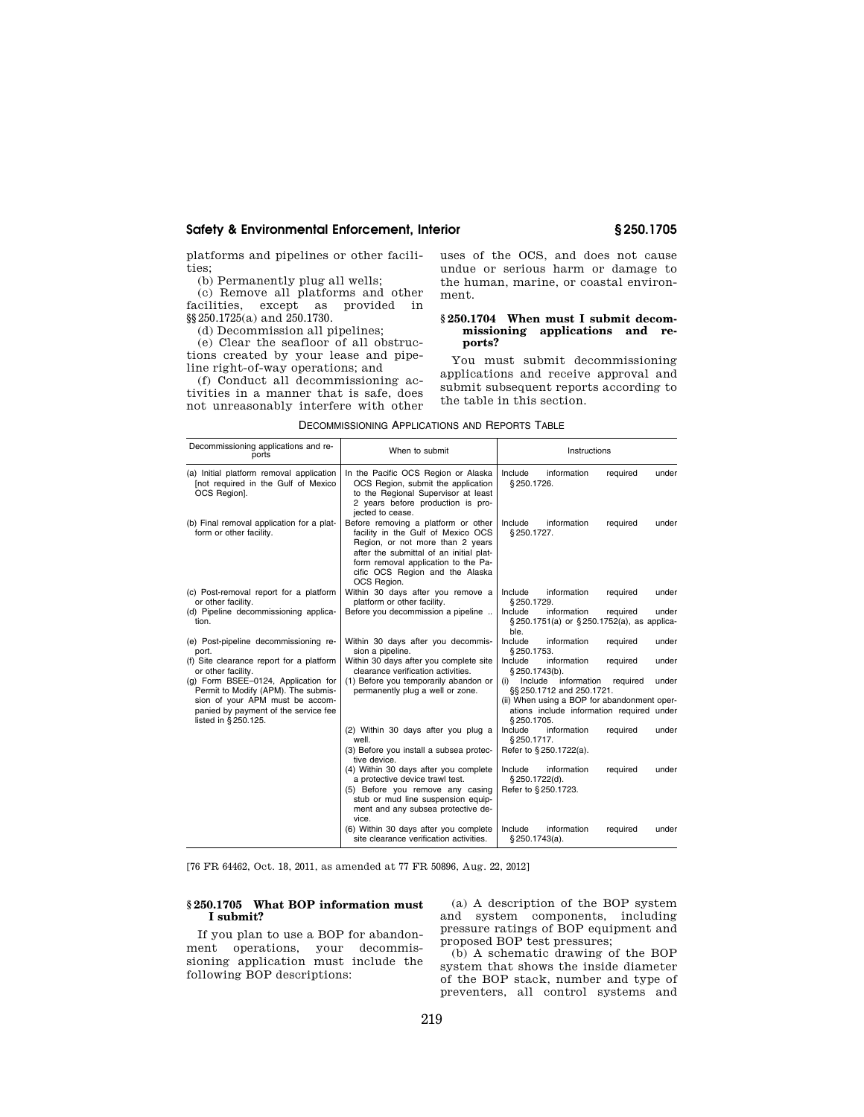platforms and pipelines or other facilities;

(b) Permanently plug all wells;

(c) Remove all platforms and other facilities, except as provided in §§250.1725(a) and 250.1730.

(d) Decommission all pipelines;

(e) Clear the seafloor of all obstructions created by your lease and pipeline right-of-way operations; and

(f) Conduct all decommissioning activities in a manner that is safe, does not unreasonably interfere with other uses of the OCS, and does not cause undue or serious harm or damage to the human, marine, or coastal environment.

## **§ 250.1704 When must I submit decommissioning applications and reports?**

You must submit decommissioning applications and receive approval and submit subsequent reports according to the table in this section.

| Decommissioning applications and re-<br>ports                                                   | When to submit                                                                                                                                                                                                                                    | Instructions                                                                                            |
|-------------------------------------------------------------------------------------------------|---------------------------------------------------------------------------------------------------------------------------------------------------------------------------------------------------------------------------------------------------|---------------------------------------------------------------------------------------------------------|
| (a) Initial platform removal application<br>[not required in the Gulf of Mexico<br>OCS Region]. | In the Pacific OCS Region or Alaska<br>OCS Region, submit the application<br>to the Regional Supervisor at least<br>2 years before production is pro-<br>iected to cease.                                                                         | Include<br>information<br>required<br>under<br>§250.1726.                                               |
| (b) Final removal application for a plat-<br>form or other facility.                            | Before removing a platform or other<br>facility in the Gulf of Mexico OCS<br>Region, or not more than 2 years<br>after the submittal of an initial plat-<br>form removal application to the Pa-<br>cific OCS Region and the Alaska<br>OCS Region. | Include<br>information<br>required<br>under<br>§250.1727.                                               |
| (c) Post-removal report for a platform<br>or other facility.                                    | Within 30 days after you remove a<br>platform or other facility.                                                                                                                                                                                  | Include<br>information<br>required<br>under<br>\$250.1729.                                              |
| (d) Pipeline decommissioning applica-<br>tion.                                                  | Before you decommission a pipeline                                                                                                                                                                                                                | Include<br>information<br>required<br>under<br>§ 250.1751(a) or § 250.1752(a), as applica-<br>ble.      |
| (e) Post-pipeline decommissioning re-<br>port.                                                  | Within 30 days after you decommis-<br>sion a pipeline.                                                                                                                                                                                            | Include<br>information<br>required<br>under<br>\$250.1753.                                              |
| (f) Site clearance report for a platform<br>or other facility.                                  | Within 30 days after you complete site<br>clearance verification activities.                                                                                                                                                                      | Include<br>information<br>required<br>under<br>§ 250.1743(b).                                           |
| (q) Form BSEE-0124, Application for<br>Permit to Modify (APM). The submis-                      | (1) Before you temporarily abandon or<br>permanently plug a well or zone.                                                                                                                                                                         | Include<br>information<br>required<br>under<br>(i)<br>§§ 250.1712 and 250.1721.                         |
| sion of your APM must be accom-<br>panied by payment of the service fee<br>listed in §250.125.  |                                                                                                                                                                                                                                                   | (ii) When using a BOP for abandonment oper-<br>ations include information required under<br>\$250.1705. |
|                                                                                                 | (2) Within 30 days after you plug a<br>well.                                                                                                                                                                                                      | information<br>Include<br>required<br>under<br>§250.1717.                                               |
|                                                                                                 | (3) Before you install a subsea protec-<br>tive device.                                                                                                                                                                                           | Refer to §250.1722(a).                                                                                  |
|                                                                                                 | (4) Within 30 days after you complete<br>a protective device trawl test.<br>(5) Before you remove any casing<br>stub or mud line suspension equip-<br>ment and any subsea protective de-<br>vice.                                                 | Include<br>information<br>required<br>under<br>§ 250.1722(d).<br>Refer to §250.1723.                    |
|                                                                                                 | (6) Within 30 days after you complete<br>site clearance verification activities.                                                                                                                                                                  | Include<br>information<br>required<br>under<br>§250.1743(a).                                            |

DECOMMISSIONING APPLICATIONS AND REPORTS TABLE

[76 FR 64462, Oct. 18, 2011, as amended at 77 FR 50896, Aug. 22, 2012]

# **§ 250.1705 What BOP information must I submit?**

If you plan to use a BOP for abandonment operations, your decommissioning application must include the following BOP descriptions:

(a) A description of the BOP system and system components, including pressure ratings of BOP equipment and proposed BOP test pressures;

(b) A schematic drawing of the BOP system that shows the inside diameter of the BOP stack, number and type of preventers, all control systems and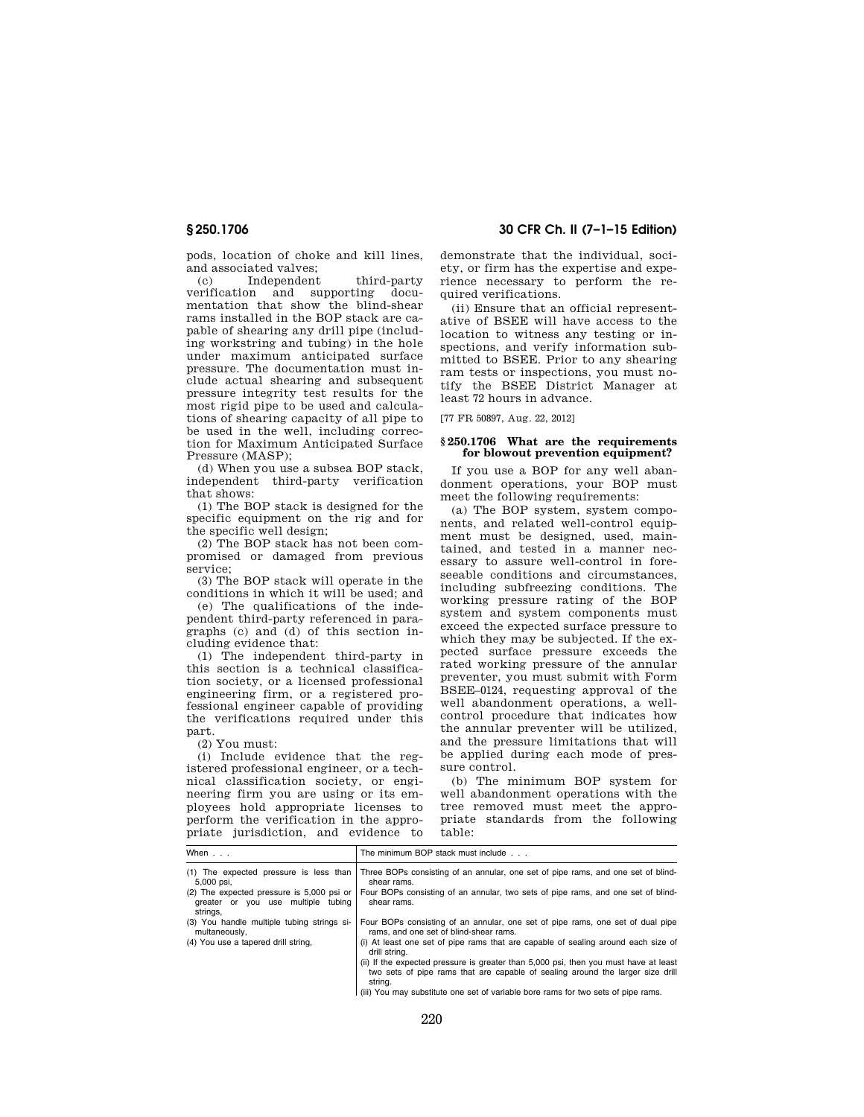pods, location of choke and kill lines, and associated valves;

(c) Independent third-party verification and supporting documentation that show the blind-shear rams installed in the BOP stack are capable of shearing any drill pipe (including workstring and tubing) in the hole under maximum anticipated surface pressure. The documentation must include actual shearing and subsequent pressure integrity test results for the most rigid pipe to be used and calculations of shearing capacity of all pipe to be used in the well, including correction for Maximum Anticipated Surface Pressure (MASP);

(d) When you use a subsea BOP stack, independent third-party verification that shows:

(1) The BOP stack is designed for the specific equipment on the rig and for the specific well design;

(2) The BOP stack has not been compromised or damaged from previous service;

(3) The BOP stack will operate in the conditions in which it will be used; and

(e) The qualifications of the independent third-party referenced in paragraphs (c) and (d) of this section including evidence that:

(1) The independent third-party in this section is a technical classification society, or a licensed professional engineering firm, or a registered professional engineer capable of providing the verifications required under this part.

(2) You must:

(i) Include evidence that the registered professional engineer, or a technical classification society, or engineering firm you are using or its employees hold appropriate licenses to perform the verification in the appropriate jurisdiction, and evidence to

# **§ 250.1706 30 CFR Ch. II (7–1–15 Edition)**

demonstrate that the individual, society, or firm has the expertise and experience necessary to perform the required verifications.

(ii) Ensure that an official representative of BSEE will have access to the location to witness any testing or inspections, and verify information submitted to BSEE. Prior to any shearing ram tests or inspections, you must notify the BSEE District Manager at least 72 hours in advance.

[77 FR 50897, Aug. 22, 2012]

### **§ 250.1706 What are the requirements for blowout prevention equipment?**

If you use a BOP for any well abandonment operations, your BOP must meet the following requirements:

(a) The BOP system, system components, and related well-control equipment must be designed, used, maintained, and tested in a manner necessary to assure well-control in foreseeable conditions and circumstances, including subfreezing conditions. The working pressure rating of the BOP system and system components must exceed the expected surface pressure to which they may be subjected. If the expected surface pressure exceeds the rated working pressure of the annular preventer, you must submit with Form BSEE–0124, requesting approval of the well abandonment operations, a wellcontrol procedure that indicates how the annular preventer will be utilized, and the pressure limitations that will be applied during each mode of pressure control.

(b) The minimum BOP system for well abandonment operations with the tree removed must meet the appropriate standards from the following table:

| When $\ldots$                                                                               | The minimum BOP stack must include                                                                                                                                                |  |
|---------------------------------------------------------------------------------------------|-----------------------------------------------------------------------------------------------------------------------------------------------------------------------------------|--|
| (1) The expected pressure is less than<br>5,000 psi,                                        | Three BOPs consisting of an annular, one set of pipe rams, and one set of blind-<br>shear rams.                                                                                   |  |
| (2) The expected pressure is 5,000 psi or<br>greater or you use multiple tubing<br>strings, | Four BOPs consisting of an annular, two sets of pipe rams, and one set of blind-<br>shear rams.                                                                                   |  |
| (3) You handle multiple tubing strings si-<br>multaneously,                                 | Four BOPs consisting of an annular, one set of pipe rams, one set of dual pipe<br>rams, and one set of blind-shear rams.                                                          |  |
| (4) You use a tapered drill string,                                                         | (i) At least one set of pipe rams that are capable of sealing around each size of<br>drill string.                                                                                |  |
|                                                                                             | (ii) If the expected pressure is greater than 5,000 psi, then you must have at least<br>two sets of pipe rams that are capable of sealing around the larger size drill<br>strina. |  |
|                                                                                             | (iii) You may substitute one set of variable bore rams for two sets of pipe rams.                                                                                                 |  |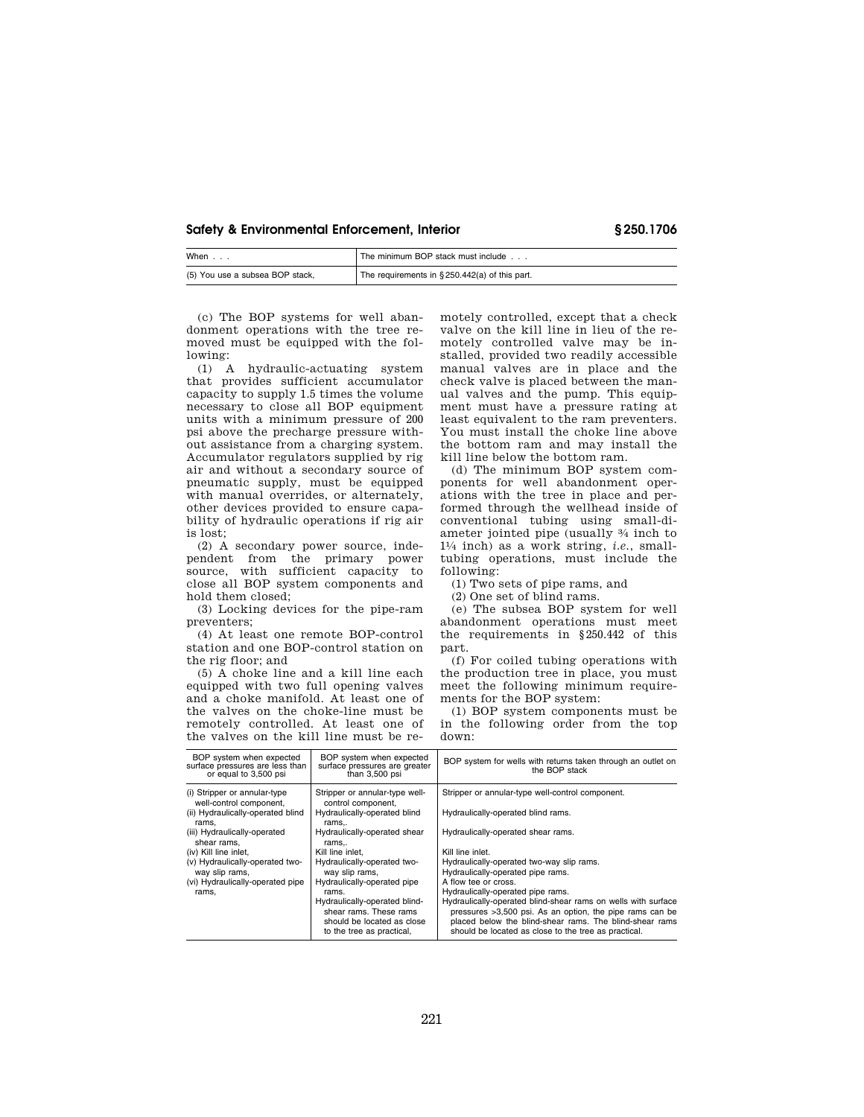| When $\ldots$                   | The minimum BOP stack must include                |
|---------------------------------|---------------------------------------------------|
| (5) You use a subsea BOP stack, | The requirements in $\S 250.442(a)$ of this part. |

(c) The BOP systems for well abandonment operations with the tree removed must be equipped with the following:

(1) A hydraulic-actuating system that provides sufficient accumulator capacity to supply 1.5 times the volume necessary to close all BOP equipment units with a minimum pressure of 200 psi above the precharge pressure without assistance from a charging system. Accumulator regulators supplied by rig air and without a secondary source of pneumatic supply, must be equipped with manual overrides, or alternately, other devices provided to ensure capability of hydraulic operations if rig air is lost;

(2) A secondary power source, independent from the primary power source, with sufficient capacity to close all BOP system components and hold them closed;

(3) Locking devices for the pipe-ram preventers;

(4) At least one remote BOP-control station and one BOP-control station on the rig floor; and

(5) A choke line and a kill line each equipped with two full opening valves and a choke manifold. At least one of the valves on the choke-line must be remotely controlled. At least one of the valves on the kill line must be remotely controlled, except that a check valve on the kill line in lieu of the remotely controlled valve may be installed, provided two readily accessible manual valves are in place and the check valve is placed between the manual valves and the pump. This equipment must have a pressure rating at least equivalent to the ram preventers. You must install the choke line above the bottom ram and may install the kill line below the bottom ram.

(d) The minimum BOP system components for well abandonment operations with the tree in place and performed through the wellhead inside of conventional tubing using small-diameter jointed pipe (usually 3⁄4 inch to 11⁄4 inch) as a work string, *i.e.*, smalltubing operations, must include the following:

(1) Two sets of pipe rams, and

(2) One set of blind rams.

(e) The subsea BOP system for well abandonment operations must meet the requirements in §250.442 of this part.

(f) For coiled tubing operations with the production tree in place, you must meet the following minimum requirements for the BOP system:

(1) BOP system components must be in the following order from the top down:

| BOP system when expected<br>surface pressures are less than<br>or equal to 3,500 psi | BOP system when expected<br>surface pressures are greater<br>than 3,500 psi                                        | BOP system for wells with returns taken through an outlet on<br>the BOP stack                                                                                                                                                                |
|--------------------------------------------------------------------------------------|--------------------------------------------------------------------------------------------------------------------|----------------------------------------------------------------------------------------------------------------------------------------------------------------------------------------------------------------------------------------------|
| (i) Stripper or annular-type<br>well-control component,                              | Stripper or annular-type well-<br>control component,                                                               | Stripper or annular-type well-control component.                                                                                                                                                                                             |
| (ii) Hydraulically-operated blind<br>rams.                                           | Hydraulically-operated blind<br>rams                                                                               | Hydraulically-operated blind rams.                                                                                                                                                                                                           |
| (iii) Hydraulically-operated<br>shear rams.                                          | Hydraulically-operated shear<br>rams                                                                               | Hydraulically-operated shear rams.                                                                                                                                                                                                           |
| (iv) Kill line inlet,                                                                | Kill line inlet.                                                                                                   | Kill line inlet.                                                                                                                                                                                                                             |
| (v) Hydraulically-operated two-<br>way slip rams,                                    | Hydraulically-operated two-<br>way slip rams,                                                                      | Hydraulically-operated two-way slip rams.<br>Hydraulically-operated pipe rams.                                                                                                                                                               |
| (vi) Hydraulically-operated pipe                                                     | Hydraulically-operated pipe                                                                                        | A flow tee or cross.                                                                                                                                                                                                                         |
| rams,                                                                                | rams.                                                                                                              | Hydraulically-operated pipe rams.                                                                                                                                                                                                            |
|                                                                                      | Hydraulically-operated blind-<br>shear rams. These rams<br>should be located as close<br>to the tree as practical, | Hydraulically-operated blind-shear rams on wells with surface<br>pressures >3,500 psi. As an option, the pipe rams can be<br>placed below the blind-shear rams. The blind-shear rams<br>should be located as close to the tree as practical. |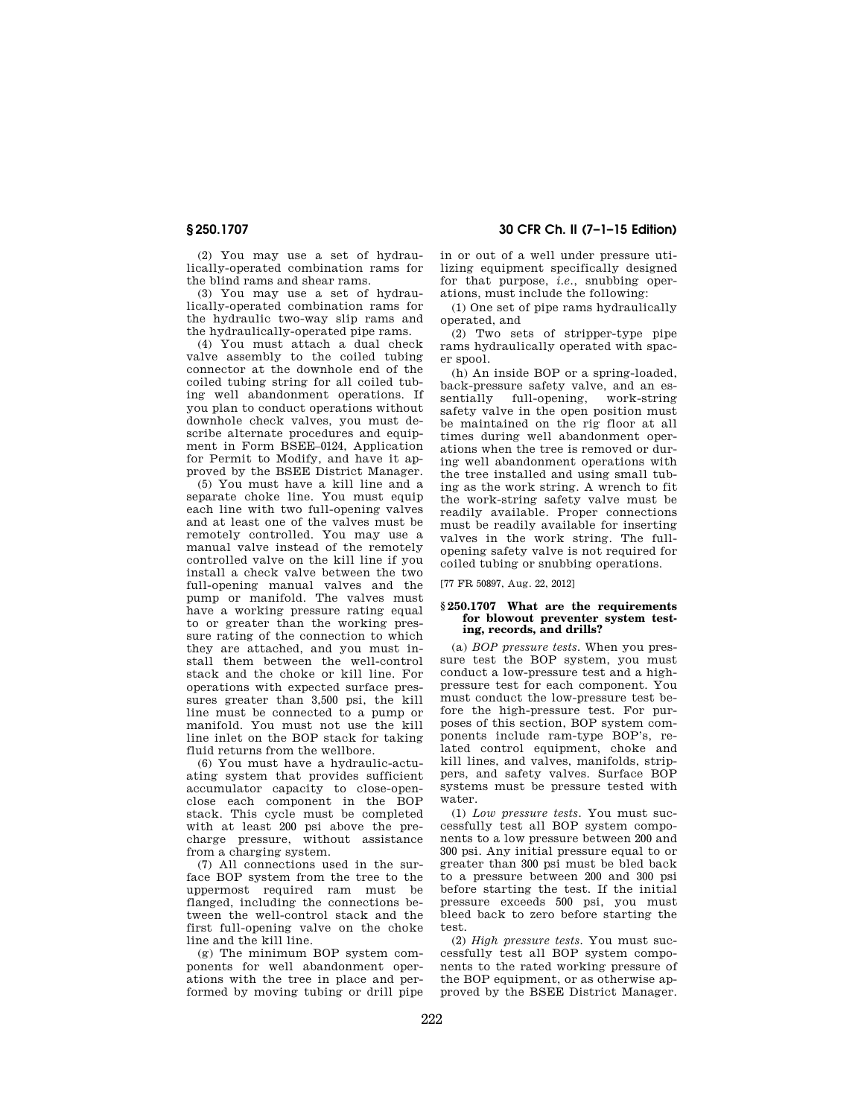(2) You may use a set of hydraulically-operated combination rams for the blind rams and shear rams.

(3) You may use a set of hydraulically-operated combination rams for the hydraulic two-way slip rams and the hydraulically-operated pipe rams.

(4) You must attach a dual check valve assembly to the coiled tubing connector at the downhole end of the coiled tubing string for all coiled tubing well abandonment operations. If you plan to conduct operations without downhole check valves, you must describe alternate procedures and equipment in Form BSEE–0124, Application for Permit to Modify, and have it approved by the BSEE District Manager.

(5) You must have a kill line and a separate choke line. You must equip each line with two full-opening valves and at least one of the valves must be remotely controlled. You may use a manual valve instead of the remotely controlled valve on the kill line if you install a check valve between the two full-opening manual valves and the pump or manifold. The valves must have a working pressure rating equal to or greater than the working pressure rating of the connection to which they are attached, and you must install them between the well-control stack and the choke or kill line. For operations with expected surface pressures greater than 3,500 psi, the kill line must be connected to a pump or manifold. You must not use the kill line inlet on the BOP stack for taking fluid returns from the wellbore.

(6) You must have a hydraulic-actuating system that provides sufficient accumulator capacity to close-openclose each component in the BOP stack. This cycle must be completed with at least 200 psi above the precharge pressure, without assistance from a charging system.

(7) All connections used in the surface BOP system from the tree to the uppermost required ram must be flanged, including the connections between the well-control stack and the first full-opening valve on the choke line and the kill line.

(g) The minimum BOP system components for well abandonment operations with the tree in place and performed by moving tubing or drill pipe

**§ 250.1707 30 CFR Ch. II (7–1–15 Edition)** 

in or out of a well under pressure utilizing equipment specifically designed for that purpose, *i.e.*, snubbing operations, must include the following:

(1) One set of pipe rams hydraulically operated, and

(2) Two sets of stripper-type pipe rams hydraulically operated with spacer spool.

(h) An inside BOP or a spring-loaded, back-pressure safety valve, and an essentially full-opening, work-string safety valve in the open position must be maintained on the rig floor at all times during well abandonment operations when the tree is removed or during well abandonment operations with the tree installed and using small tubing as the work string. A wrench to fit the work-string safety valve must be readily available. Proper connections must be readily available for inserting valves in the work string. The fullopening safety valve is not required for coiled tubing or snubbing operations.

[77 FR 50897, Aug. 22, 2012]

## **§ 250.1707 What are the requirements for blowout preventer system testing, records, and drills?**

(a) *BOP pressure tests.* When you pressure test the BOP system, you must conduct a low-pressure test and a highpressure test for each component. You must conduct the low-pressure test before the high-pressure test. For purposes of this section, BOP system components include ram-type BOP's, related control equipment, choke and kill lines, and valves, manifolds, strippers, and safety valves. Surface BOP systems must be pressure tested with water.

(1) *Low pressure tests.* You must successfully test all BOP system components to a low pressure between 200 and 300 psi. Any initial pressure equal to or greater than 300 psi must be bled back to a pressure between 200 and 300 psi before starting the test. If the initial pressure exceeds 500 psi, you must bleed back to zero before starting the test.

(2) *High pressure tests.* You must successfully test all BOP system components to the rated working pressure of the BOP equipment, or as otherwise approved by the BSEE District Manager.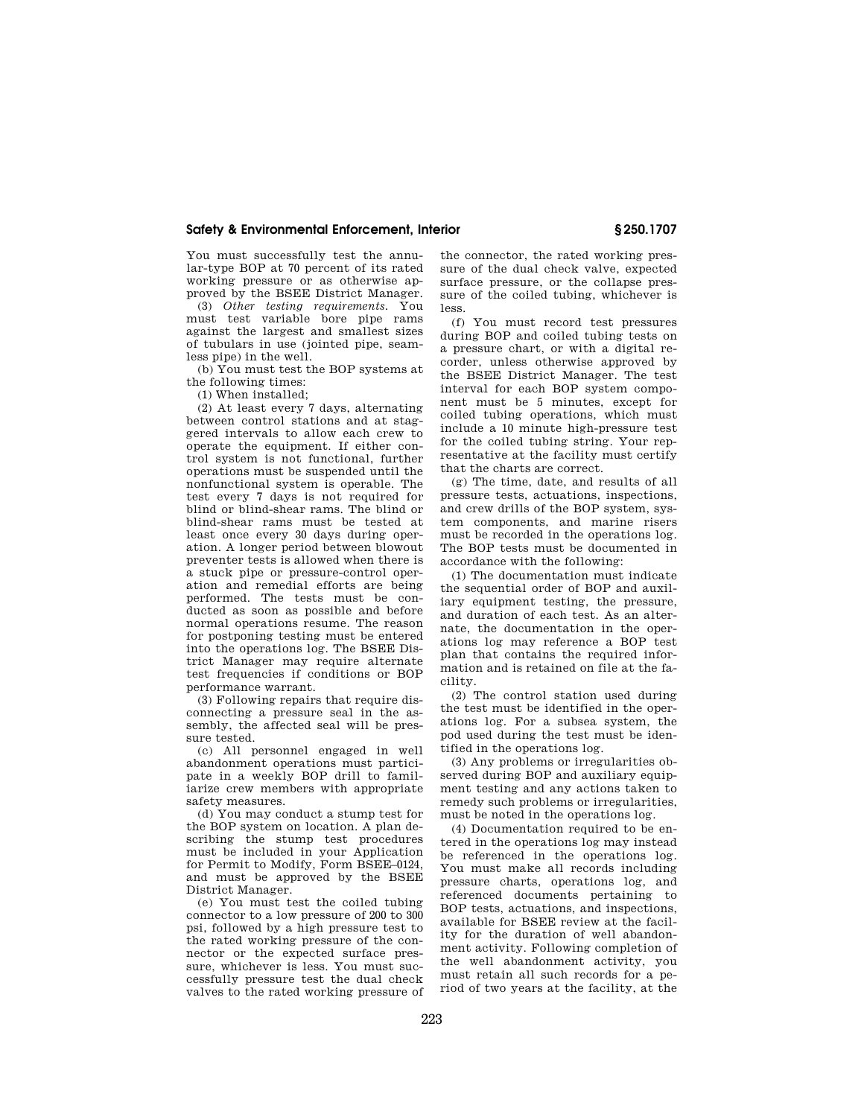You must successfully test the annular-type BOP at 70 percent of its rated working pressure or as otherwise approved by the BSEE District Manager.

(3) *Other testing requirements.* You must test variable bore pipe rams against the largest and smallest sizes of tubulars in use (jointed pipe, seamless pipe) in the well.

(b) You must test the BOP systems at the following times:

(1) When installed;

(2) At least every 7 days, alternating between control stations and at staggered intervals to allow each crew to operate the equipment. If either control system is not functional, further operations must be suspended until the nonfunctional system is operable. The test every 7 days is not required for blind or blind-shear rams. The blind or blind-shear rams must be tested at least once every 30 days during operation. A longer period between blowout preventer tests is allowed when there is a stuck pipe or pressure-control operation and remedial efforts are being performed. The tests must be conducted as soon as possible and before normal operations resume. The reason for postponing testing must be entered into the operations log. The BSEE District Manager may require alternate test frequencies if conditions or BOP performance warrant.

(3) Following repairs that require disconnecting a pressure seal in the assembly, the affected seal will be pressure tested.

(c) All personnel engaged in well abandonment operations must participate in a weekly BOP drill to familiarize crew members with appropriate safety measures.

(d) You may conduct a stump test for the BOP system on location. A plan describing the stump test procedures must be included in your Application for Permit to Modify, Form BSEE–0124, and must be approved by the BSEE District Manager.

(e) You must test the coiled tubing connector to a low pressure of 200 to 300 psi, followed by a high pressure test to the rated working pressure of the connector or the expected surface pressure, whichever is less. You must successfully pressure test the dual check valves to the rated working pressure of the connector, the rated working pressure of the dual check valve, expected surface pressure, or the collapse pressure of the coiled tubing, whichever is less.

(f) You must record test pressures during BOP and coiled tubing tests on a pressure chart, or with a digital recorder, unless otherwise approved by the BSEE District Manager. The test interval for each BOP system component must be 5 minutes, except for coiled tubing operations, which must include a 10 minute high-pressure test for the coiled tubing string. Your representative at the facility must certify that the charts are correct.

(g) The time, date, and results of all pressure tests, actuations, inspections, and crew drills of the BOP system, system components, and marine risers must be recorded in the operations log. The BOP tests must be documented in accordance with the following:

(1) The documentation must indicate the sequential order of BOP and auxiliary equipment testing, the pressure, and duration of each test. As an alternate, the documentation in the operations log may reference a BOP test plan that contains the required information and is retained on file at the facility.

(2) The control station used during the test must be identified in the operations log. For a subsea system, the pod used during the test must be identified in the operations log.

(3) Any problems or irregularities observed during BOP and auxiliary equipment testing and any actions taken to remedy such problems or irregularities, must be noted in the operations log.

(4) Documentation required to be entered in the operations log may instead be referenced in the operations log. You must make all records including pressure charts, operations log, and referenced documents pertaining to BOP tests, actuations, and inspections, available for BSEE review at the facility for the duration of well abandonment activity. Following completion of the well abandonment activity, you must retain all such records for a period of two years at the facility, at the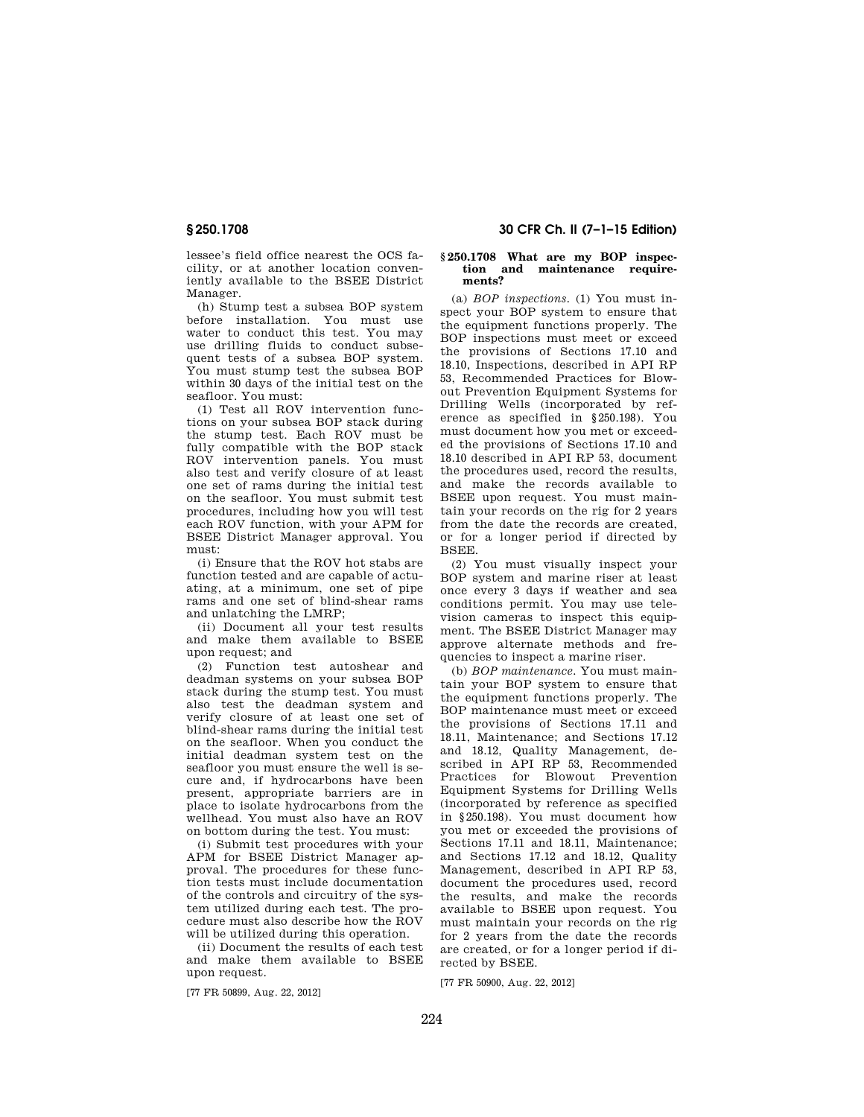lessee's field office nearest the OCS facility, or at another location conveniently available to the BSEE District Manager.

(h) Stump test a subsea BOP system before installation. You must use water to conduct this test. You may use drilling fluids to conduct subsequent tests of a subsea BOP system. You must stump test the subsea BOP within 30 days of the initial test on the seafloor. You must:

(1) Test all ROV intervention functions on your subsea BOP stack during the stump test. Each ROV must be fully compatible with the BOP stack ROV intervention panels. You must also test and verify closure of at least one set of rams during the initial test on the seafloor. You must submit test procedures, including how you will test each ROV function, with your APM for BSEE District Manager approval. You must:

(i) Ensure that the ROV hot stabs are function tested and are capable of actuating, at a minimum, one set of pipe rams and one set of blind-shear rams and unlatching the LMRP;

(ii) Document all your test results and make them available to BSEE upon request; and

(2) Function test autoshear and deadman systems on your subsea BOP stack during the stump test. You must also test the deadman system and verify closure of at least one set of blind-shear rams during the initial test on the seafloor. When you conduct the initial deadman system test on the seafloor you must ensure the well is secure and, if hydrocarbons have been present, appropriate barriers are in place to isolate hydrocarbons from the wellhead. You must also have an ROV on bottom during the test. You must:

(i) Submit test procedures with your APM for BSEE District Manager approval. The procedures for these function tests must include documentation of the controls and circuitry of the system utilized during each test. The procedure must also describe how the ROV will be utilized during this operation.

(ii) Document the results of each test and make them available to BSEE upon request.

[77 FR 50899, Aug. 22, 2012]

# **§ 250.1708 30 CFR Ch. II (7–1–15 Edition)**

## **§ 250.1708 What are my BOP inspection and maintenance requirements?**

(a) *BOP inspections.* (1) You must inspect your BOP system to ensure that the equipment functions properly. The BOP inspections must meet or exceed the provisions of Sections 17.10 and 18.10, Inspections, described in API RP 53, Recommended Practices for Blowout Prevention Equipment Systems for Drilling Wells (incorporated by reference as specified in §250.198). You must document how you met or exceeded the provisions of Sections 17.10 and 18.10 described in API RP 53, document the procedures used, record the results, and make the records available to BSEE upon request. You must maintain your records on the rig for 2 years from the date the records are created, or for a longer period if directed by BSEE.

(2) You must visually inspect your BOP system and marine riser at least once every 3 days if weather and sea conditions permit. You may use television cameras to inspect this equipment. The BSEE District Manager may approve alternate methods and frequencies to inspect a marine riser.

(b) *BOP maintenance.* You must maintain your BOP system to ensure that the equipment functions properly. The BOP maintenance must meet or exceed the provisions of Sections 17.11 and 18.11, Maintenance; and Sections 17.12 and 18.12, Quality Management, described in API RP 53, Recommended Practices for Blowout Prevention Equipment Systems for Drilling Wells (incorporated by reference as specified in §250.198). You must document how you met or exceeded the provisions of Sections 17.11 and 18.11, Maintenance; and Sections 17.12 and 18.12, Quality Management, described in API RP 53, document the procedures used, record the results, and make the records available to BSEE upon request. You must maintain your records on the rig for 2 years from the date the records are created, or for a longer period if directed by BSEE.

[77 FR 50900, Aug. 22, 2012]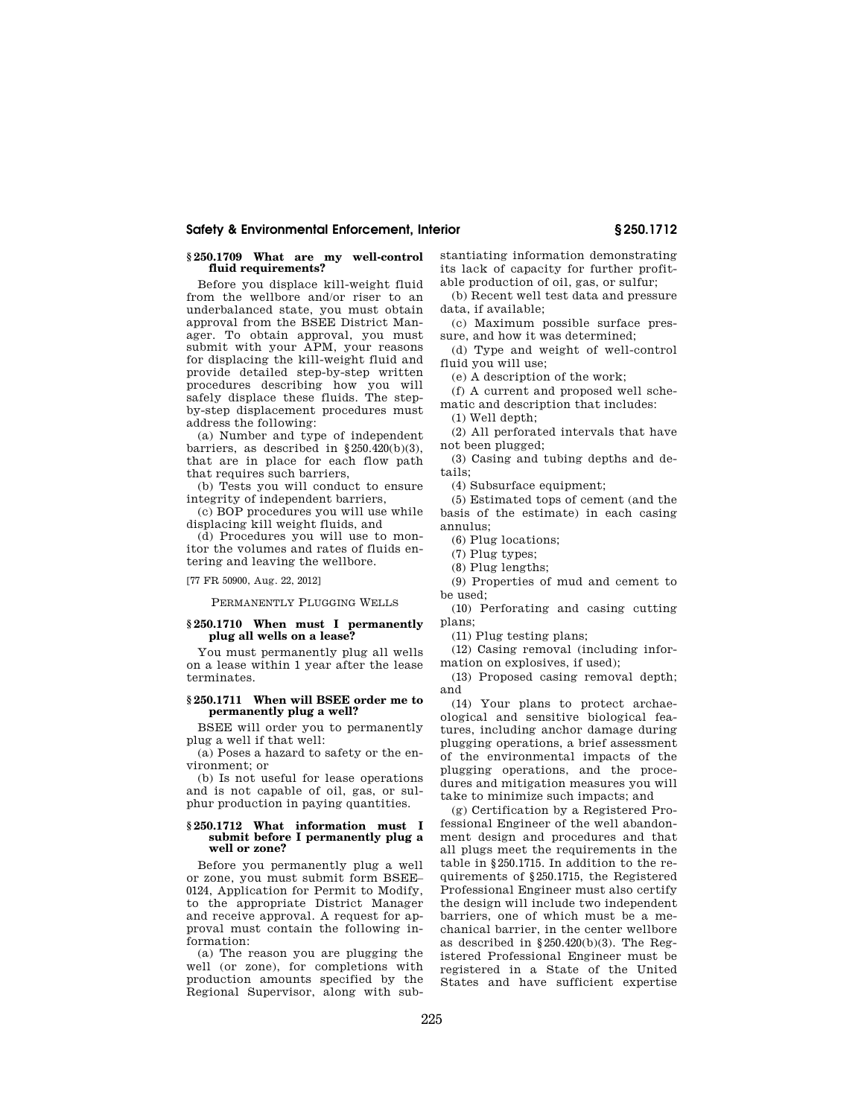## **§ 250.1709 What are my well-control fluid requirements?**

Before you displace kill-weight fluid from the wellbore and/or riser to an underbalanced state, you must obtain approval from the BSEE District Manager. To obtain approval, you must submit with your APM, your reasons for displacing the kill-weight fluid and provide detailed step-by-step written procedures describing how you will safely displace these fluids. The stepby-step displacement procedures must address the following:

(a) Number and type of independent barriers, as described in §250.420(b)(3), that are in place for each flow path that requires such barriers,

(b) Tests you will conduct to ensure integrity of independent barriers,

(c) BOP procedures you will use while displacing kill weight fluids, and

(d) Procedures you will use to monitor the volumes and rates of fluids entering and leaving the wellbore.

[77 FR 50900, Aug. 22, 2012]

PERMANENTLY PLUGGING WELLS

### **§ 250.1710 When must I permanently plug all wells on a lease?**

You must permanently plug all wells on a lease within 1 year after the lease terminates.

## **§ 250.1711 When will BSEE order me to permanently plug a well?**

BSEE will order you to permanently plug a well if that well:

(a) Poses a hazard to safety or the environment; or

(b) Is not useful for lease operations and is not capable of oil, gas, or sulphur production in paying quantities.

#### **§ 250.1712 What information must I submit before I permanently plug a well or zone?**

Before you permanently plug a well or zone, you must submit form BSEE– 0124, Application for Permit to Modify, to the appropriate District Manager and receive approval. A request for approval must contain the following information:

(a) The reason you are plugging the well (or zone), for completions with production amounts specified by the Regional Supervisor, along with substantiating information demonstrating its lack of capacity for further profitable production of oil, gas, or sulfur;

(b) Recent well test data and pressure data, if available;

(c) Maximum possible surface pressure, and how it was determined;

(d) Type and weight of well-control fluid you will use;

(e) A description of the work;

(f) A current and proposed well schematic and description that includes:

(1) Well depth;

(2) All perforated intervals that have not been plugged;

(3) Casing and tubing depths and details;

(4) Subsurface equipment;

(5) Estimated tops of cement (and the basis of the estimate) in each casing annulus;

(6) Plug locations;

(7) Plug types;

(8) Plug lengths;

(9) Properties of mud and cement to be used;

(10) Perforating and casing cutting plans;

(11) Plug testing plans;

(12) Casing removal (including information on explosives, if used);

(13) Proposed casing removal depth; and

(14) Your plans to protect archaeological and sensitive biological features, including anchor damage during plugging operations, a brief assessment of the environmental impacts of the plugging operations, and the procedures and mitigation measures you will take to minimize such impacts; and

(g) Certification by a Registered Professional Engineer of the well abandonment design and procedures and that all plugs meet the requirements in the table in §250.1715. In addition to the requirements of §250.1715, the Registered Professional Engineer must also certify the design will include two independent barriers, one of which must be a mechanical barrier, in the center wellbore as described in  $\S 250.420(b)(3)$ . The Registered Professional Engineer must be registered in a State of the United States and have sufficient expertise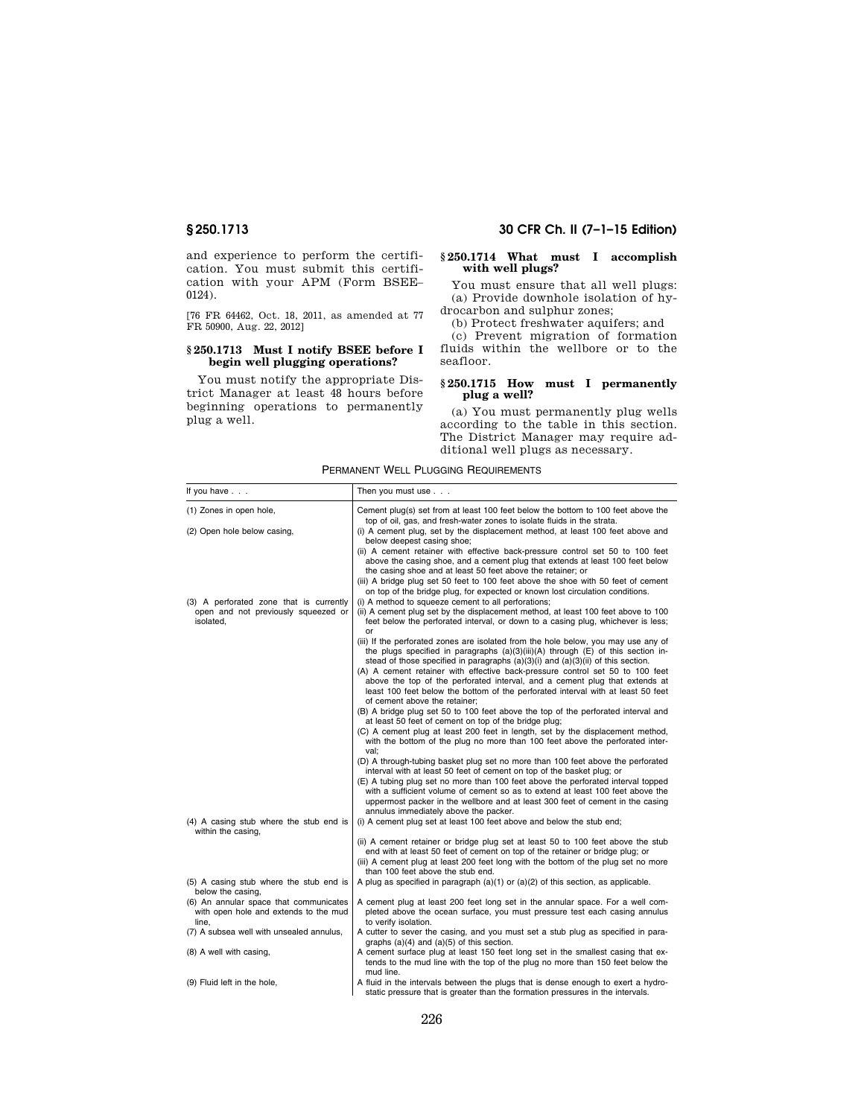and experience to perform the certification. You must submit this certification with your APM (Form BSEE– 0124).

[76 FR 64462, Oct. 18, 2011, as amended at 77 FR 50900, Aug. 22, 2012]

# **§ 250.1713 Must I notify BSEE before I begin well plugging operations?**

You must notify the appropriate District Manager at least 48 hours before beginning operations to permanently plug a well.

# **§ 250.1713 30 CFR Ch. II (7–1–15 Edition)**

## **§ 250.1714 What must I accomplish with well plugs?**

You must ensure that all well plugs: (a) Provide downhole isolation of hydrocarbon and sulphur zones;

(b) Protect freshwater aquifers; and

(c) Prevent migration of formation fluids within the wellbore or to the seafloor.

## **§ 250.1715 How must I permanently plug a well?**

(a) You must permanently plug wells according to the table in this section. The District Manager may require additional well plugs as necessary.

| If you have $\ldots$                                                                        | Then you must use                                                                                                                                                                                                                                                                                                                                                                                                                                          |
|---------------------------------------------------------------------------------------------|------------------------------------------------------------------------------------------------------------------------------------------------------------------------------------------------------------------------------------------------------------------------------------------------------------------------------------------------------------------------------------------------------------------------------------------------------------|
| (1) Zones in open hole,                                                                     | Cement plug(s) set from at least 100 feet below the bottom to 100 feet above the<br>top of oil, gas, and fresh-water zones to isolate fluids in the strata.                                                                                                                                                                                                                                                                                                |
| (2) Open hole below casing,                                                                 | (i) A cement plug, set by the displacement method, at least 100 feet above and<br>below deepest casing shoe;                                                                                                                                                                                                                                                                                                                                               |
|                                                                                             | (ii) A cement retainer with effective back-pressure control set 50 to 100 feet<br>above the casing shoe, and a cement plug that extends at least 100 feet below<br>the casing shoe and at least 50 feet above the retainer; or                                                                                                                                                                                                                             |
|                                                                                             | (iii) A bridge plug set 50 feet to 100 feet above the shoe with 50 feet of cement<br>on top of the bridge plug, for expected or known lost circulation conditions.                                                                                                                                                                                                                                                                                         |
| (3) A perforated zone that is currently<br>open and not previously squeezed or<br>isolated, | (i) A method to squeeze cement to all perforations;<br>(ii) A cement plug set by the displacement method, at least 100 feet above to 100<br>feet below the perforated interval, or down to a casing plug, whichever is less;<br>or                                                                                                                                                                                                                         |
|                                                                                             | (iii) If the perforated zones are isolated from the hole below, you may use any of<br>the plugs specified in paragraphs $(a)(3)(iii)(A)$ through $(E)$ of this section in-<br>stead of those specified in paragraphs $(a)(3)(i)$ and $(a)(3)(ii)$ of this section.                                                                                                                                                                                         |
|                                                                                             | (A) A cement retainer with effective back-pressure control set 50 to 100 feet<br>above the top of the perforated interval, and a cement plug that extends at<br>least 100 feet below the bottom of the perforated interval with at least 50 feet<br>of cement above the retainer;                                                                                                                                                                          |
|                                                                                             | (B) A bridge plug set 50 to 100 feet above the top of the perforated interval and<br>at least 50 feet of cement on top of the bridge plug;                                                                                                                                                                                                                                                                                                                 |
|                                                                                             | (C) A cement plug at least 200 feet in length, set by the displacement method,<br>with the bottom of the plug no more than 100 feet above the perforated inter-<br>val:                                                                                                                                                                                                                                                                                    |
|                                                                                             | (D) A through-tubing basket plug set no more than 100 feet above the perforated<br>interval with at least 50 feet of cement on top of the basket plug; or<br>(E) A tubing plug set no more than 100 feet above the perforated interval topped<br>with a sufficient volume of cement so as to extend at least 100 feet above the<br>uppermost packer in the wellbore and at least 300 feet of cement in the casing<br>annulus immediately above the packer. |
| (4) A casing stub where the stub end is<br>within the casing,                               | (i) A cement plug set at least 100 feet above and below the stub end;                                                                                                                                                                                                                                                                                                                                                                                      |
|                                                                                             | (ii) A cement retainer or bridge plug set at least 50 to 100 feet above the stub<br>end with at least 50 feet of cement on top of the retainer or bridge plug; or<br>(iii) A cement plug at least 200 feet long with the bottom of the plug set no more<br>than 100 feet above the stub end.                                                                                                                                                               |
| (5) A casing stub where the stub end is<br>below the casing,                                | A plug as specified in paragraph $(a)(1)$ or $(a)(2)$ of this section, as applicable.                                                                                                                                                                                                                                                                                                                                                                      |
| (6) An annular space that communicates<br>with open hole and extends to the mud<br>line,    | A cement plug at least 200 feet long set in the annular space. For a well com-<br>pleted above the ocean surface, you must pressure test each casing annulus<br>to verify isolation.                                                                                                                                                                                                                                                                       |
| (7) A subsea well with unsealed annulus,                                                    | A cutter to sever the casing, and you must set a stub plug as specified in para-<br>graphs $(a)(4)$ and $(a)(5)$ of this section.                                                                                                                                                                                                                                                                                                                          |
| (8) A well with casing,                                                                     | A cement surface plug at least 150 feet long set in the smallest casing that ex-<br>tends to the mud line with the top of the plug no more than 150 feet below the<br>mud line.                                                                                                                                                                                                                                                                            |
| (9) Fluid left in the hole,                                                                 | A fluid in the intervals between the plugs that is dense enough to exert a hydro-<br>static pressure that is greater than the formation pressures in the intervals.                                                                                                                                                                                                                                                                                        |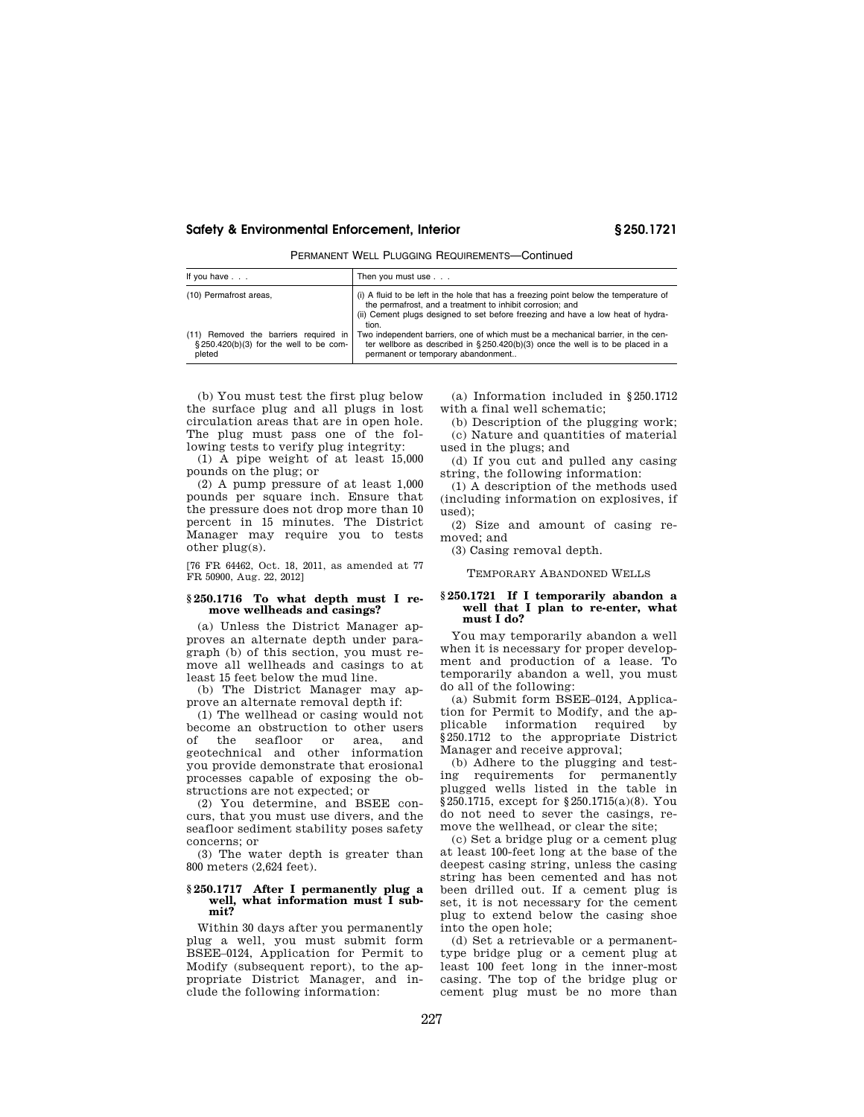PERMANENT WELL PLUGGING REQUIREMENTS—Continued

| If you have $\ldots$                                                                      | Then you must use                                                                                                                                                                                                                              |
|-------------------------------------------------------------------------------------------|------------------------------------------------------------------------------------------------------------------------------------------------------------------------------------------------------------------------------------------------|
| (10) Permafrost areas,                                                                    | (i) A fluid to be left in the hole that has a freezing point below the temperature of<br>the permafrost, and a treatment to inhibit corrosion; and<br>(ii) Cement plugs designed to set before freezing and have a low heat of hydra-<br>tion. |
| (11) Removed the barriers required in<br>§250.420(b)(3) for the well to be com-<br>pleted | Two independent barriers, one of which must be a mechanical barrier, in the cen-<br>ter wellbore as described in $\S 250.420(b)(3)$ once the well is to be placed in a<br>permanent or temporary abandonment                                   |

(b) You must test the first plug below the surface plug and all plugs in lost circulation areas that are in open hole. The plug must pass one of the following tests to verify plug integrity:

(1) A pipe weight of at least 15,000 pounds on the plug; or

(2) A pump pressure of at least 1,000 pounds per square inch. Ensure that the pressure does not drop more than 10 percent in 15 minutes. The District Manager may require you to tests other plug(s).

[76 FR 64462, Oct. 18, 2011, as amended at 77 FR 50900, Aug. 22, 2012]

# **§ 250.1716 To what depth must I remove wellheads and casings?**

(a) Unless the District Manager approves an alternate depth under paragraph (b) of this section, you must remove all wellheads and casings to at least 15 feet below the mud line.

(b) The District Manager may approve an alternate removal depth if:

(1) The wellhead or casing would not become an obstruction to other users of the seafloor or area, and geotechnical and other information you provide demonstrate that erosional processes capable of exposing the obstructions are not expected; or

(2) You determine, and BSEE concurs, that you must use divers, and the seafloor sediment stability poses safety concerns; or

(3) The water depth is greater than 800 meters (2,624 feet).

## **§ 250.1717 After I permanently plug a well, what information must I submit?**

Within 30 days after you permanently plug a well, you must submit form BSEE–0124, Application for Permit to Modify (subsequent report), to the appropriate District Manager, and include the following information:

(a) Information included in §250.1712 with a final well schematic;

(b) Description of the plugging work; (c) Nature and quantities of material

used in the plugs; and (d) If you cut and pulled any casing string, the following information:

(1) A description of the methods used (including information on explosives, if used);

(2) Size and amount of casing removed; and

(3) Casing removal depth.

TEMPORARY ABANDONED WELLS

## **§ 250.1721 If I temporarily abandon a well that I plan to re-enter, what must I do?**

You may temporarily abandon a well when it is necessary for proper development and production of a lease. To temporarily abandon a well, you must do all of the following:

(a) Submit form BSEE–0124, Application for Permit to Modify, and the applicable information required by §250.1712 to the appropriate District Manager and receive approval;

(b) Adhere to the plugging and testing requirements for permanently plugged wells listed in the table in §250.1715, except for §250.1715(a)(8). You do not need to sever the casings, remove the wellhead, or clear the site;

(c) Set a bridge plug or a cement plug at least 100-feet long at the base of the deepest casing string, unless the casing string has been cemented and has not been drilled out. If a cement plug is set, it is not necessary for the cement plug to extend below the casing shoe into the open hole;

(d) Set a retrievable or a permanenttype bridge plug or a cement plug at least 100 feet long in the inner-most casing. The top of the bridge plug or cement plug must be no more than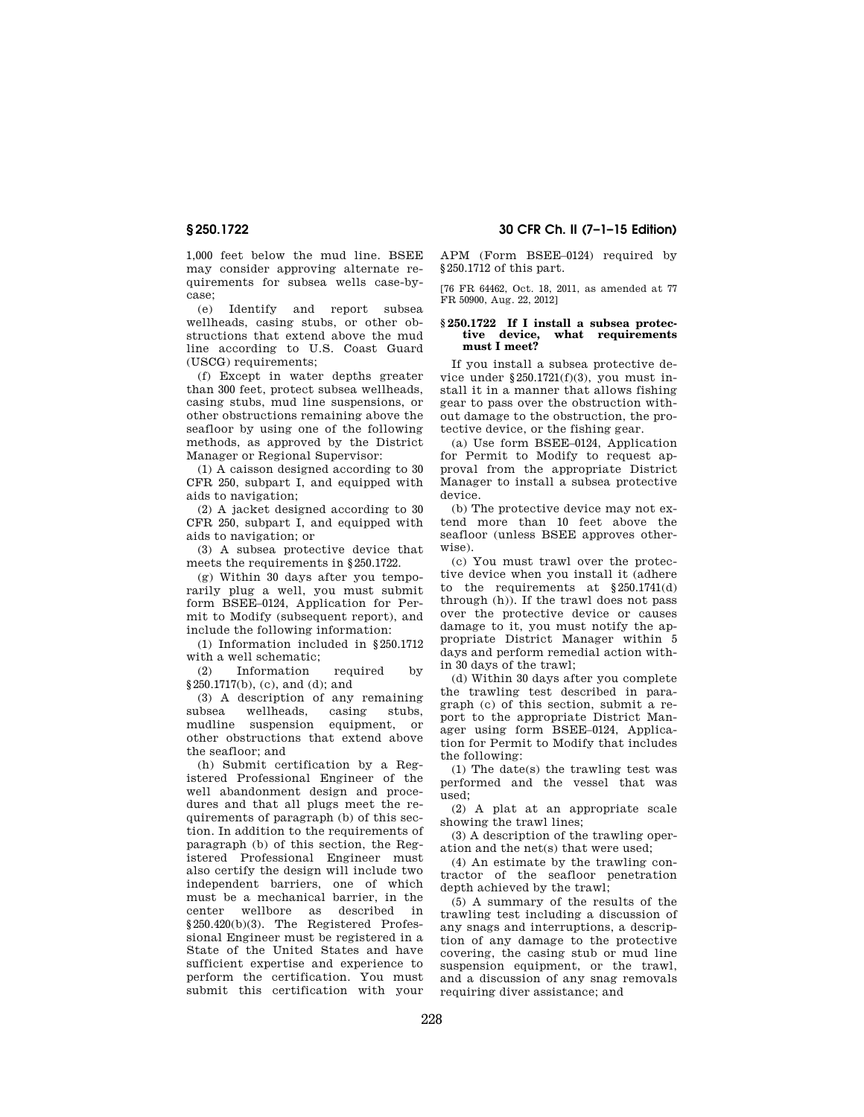1,000 feet below the mud line. BSEE may consider approving alternate requirements for subsea wells case-bycase;

(e) Identify and report subsea wellheads, casing stubs, or other obstructions that extend above the mud line according to U.S. Coast Guard (USCG) requirements;

(f) Except in water depths greater than 300 feet, protect subsea wellheads, casing stubs, mud line suspensions, or other obstructions remaining above the seafloor by using one of the following methods, as approved by the District Manager or Regional Supervisor:

(1) A caisson designed according to 30 CFR 250, subpart I, and equipped with aids to navigation;

(2) A jacket designed according to 30 CFR 250, subpart I, and equipped with aids to navigation; or

(3) A subsea protective device that meets the requirements in §250.1722.

(g) Within 30 days after you temporarily plug a well, you must submit form BSEE–0124, Application for Permit to Modify (subsequent report), and include the following information:

(1) Information included in §250.1712 with a well schematic;

(2) Information required by §250.1717(b), (c), and (d); and

(3) A description of any remaining subsea wellheads, casing stubs, mudline suspension equipment, or other obstructions that extend above the seafloor; and

(h) Submit certification by a Registered Professional Engineer of the well abandonment design and procedures and that all plugs meet the requirements of paragraph (b) of this section. In addition to the requirements of paragraph (b) of this section, the Registered Professional Engineer must also certify the design will include two independent barriers, one of which must be a mechanical barrier, in the center wellbore as described in §250.420(b)(3). The Registered Professional Engineer must be registered in a State of the United States and have sufficient expertise and experience to perform the certification. You must submit this certification with your

**§ 250.1722 30 CFR Ch. II (7–1–15 Edition)** 

APM (Form BSEE–0124) required by §250.1712 of this part.

[76 FR 64462, Oct. 18, 2011, as amended at 77 FR 50900, Aug. 22, 2012]

## **§ 250.1722 If I install a subsea protective device, what requirements must I meet?**

If you install a subsea protective device under §250.1721(f)(3), you must install it in a manner that allows fishing gear to pass over the obstruction without damage to the obstruction, the protective device, or the fishing gear.

(a) Use form BSEE–0124, Application for Permit to Modify to request approval from the appropriate District Manager to install a subsea protective device.

(b) The protective device may not extend more than 10 feet above the seafloor (unless BSEE approves otherwise).

(c) You must trawl over the protective device when you install it (adhere to the requirements at §250.1741(d) through (h)). If the trawl does not pass over the protective device or causes damage to it, you must notify the appropriate District Manager within 5 days and perform remedial action within 30 days of the trawl;

(d) Within 30 days after you complete the trawling test described in paragraph (c) of this section, submit a report to the appropriate District Manager using form BSEE–0124, Application for Permit to Modify that includes the following:

(1) The date(s) the trawling test was performed and the vessel that was used;

(2) A plat at an appropriate scale showing the trawl lines;

(3) A description of the trawling operation and the net(s) that were used;

(4) An estimate by the trawling contractor of the seafloor penetration depth achieved by the trawl;

(5) A summary of the results of the trawling test including a discussion of any snags and interruptions, a description of any damage to the protective covering, the casing stub or mud line suspension equipment, or the trawl, and a discussion of any snag removals requiring diver assistance; and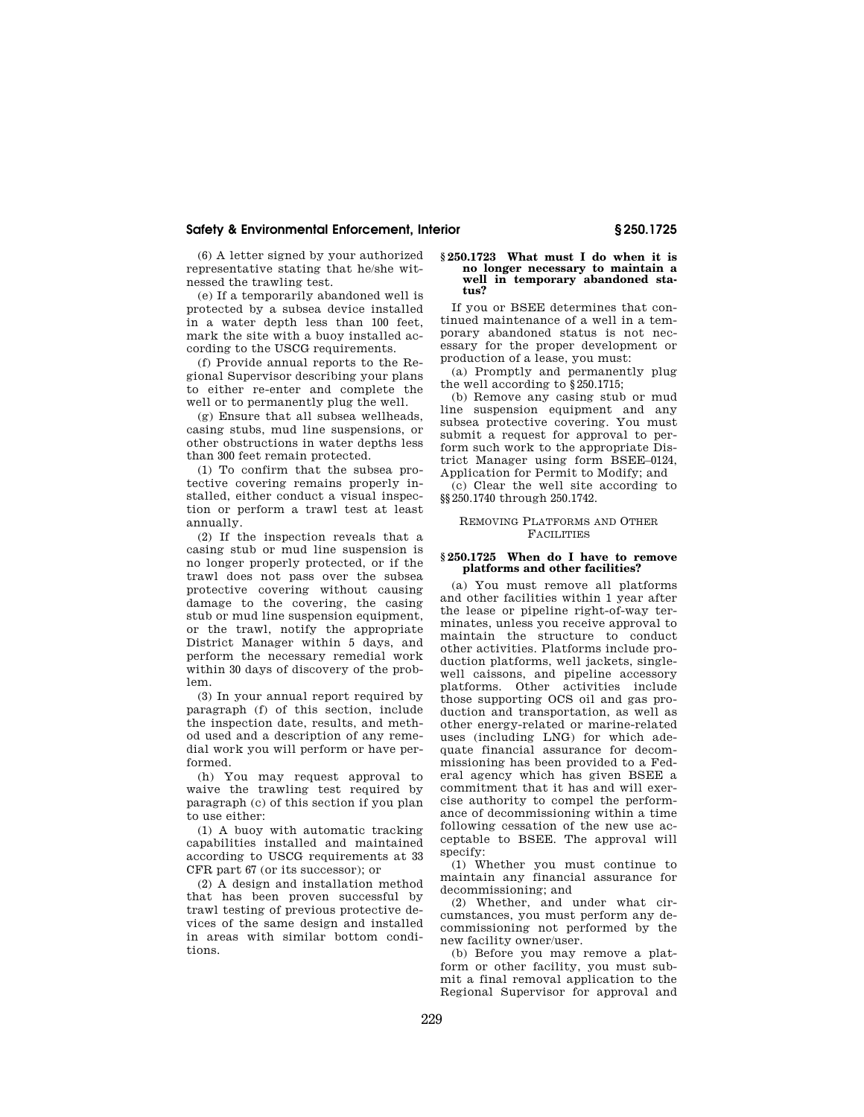(6) A letter signed by your authorized representative stating that he/she witnessed the trawling test.

(e) If a temporarily abandoned well is protected by a subsea device installed in a water depth less than 100 feet, mark the site with a buoy installed according to the USCG requirements.

(f) Provide annual reports to the Regional Supervisor describing your plans to either re-enter and complete the well or to permanently plug the well.

(g) Ensure that all subsea wellheads, casing stubs, mud line suspensions, or other obstructions in water depths less than 300 feet remain protected.

(1) To confirm that the subsea protective covering remains properly installed, either conduct a visual inspection or perform a trawl test at least annually.

(2) If the inspection reveals that a casing stub or mud line suspension is no longer properly protected, or if the trawl does not pass over the subsea protective covering without causing damage to the covering, the casing stub or mud line suspension equipment, or the trawl, notify the appropriate District Manager within 5 days, and perform the necessary remedial work within 30 days of discovery of the problem.

(3) In your annual report required by paragraph (f) of this section, include the inspection date, results, and method used and a description of any remedial work you will perform or have performed.

(h) You may request approval to waive the trawling test required by paragraph (c) of this section if you plan to use either:

(1) A buoy with automatic tracking capabilities installed and maintained according to USCG requirements at 33 CFR part 67 (or its successor); or

(2) A design and installation method that has been proven successful by trawl testing of previous protective devices of the same design and installed in areas with similar bottom conditions.

#### **§ 250.1723 What must I do when it is no longer necessary to maintain a well in temporary abandoned status?**

If you or BSEE determines that continued maintenance of a well in a temporary abandoned status is not necessary for the proper development or production of a lease, you must:

(a) Promptly and permanently plug the well according to §250.1715;

(b) Remove any casing stub or mud line suspension equipment and any subsea protective covering. You must submit a request for approval to perform such work to the appropriate District Manager using form BSEE–0124, Application for Permit to Modify; and

(c) Clear the well site according to §§250.1740 through 250.1742.

## REMOVING PLATFORMS AND OTHER **FACILITIES**

# **§ 250.1725 When do I have to remove platforms and other facilities?**

(a) You must remove all platforms and other facilities within 1 year after the lease or pipeline right-of-way terminates, unless you receive approval to maintain the structure to conduct other activities. Platforms include production platforms, well jackets, singlewell caissons, and pipeline accessory platforms. Other activities include those supporting OCS oil and gas production and transportation, as well as other energy-related or marine-related uses (including LNG) for which adequate financial assurance for decommissioning has been provided to a Federal agency which has given BSEE a commitment that it has and will exercise authority to compel the performance of decommissioning within a time following cessation of the new use acceptable to BSEE. The approval will specify:

(1) Whether you must continue to maintain any financial assurance for decommissioning; and

(2) Whether, and under what circumstances, you must perform any decommissioning not performed by the new facility owner/user.

(b) Before you may remove a platform or other facility, you must submit a final removal application to the Regional Supervisor for approval and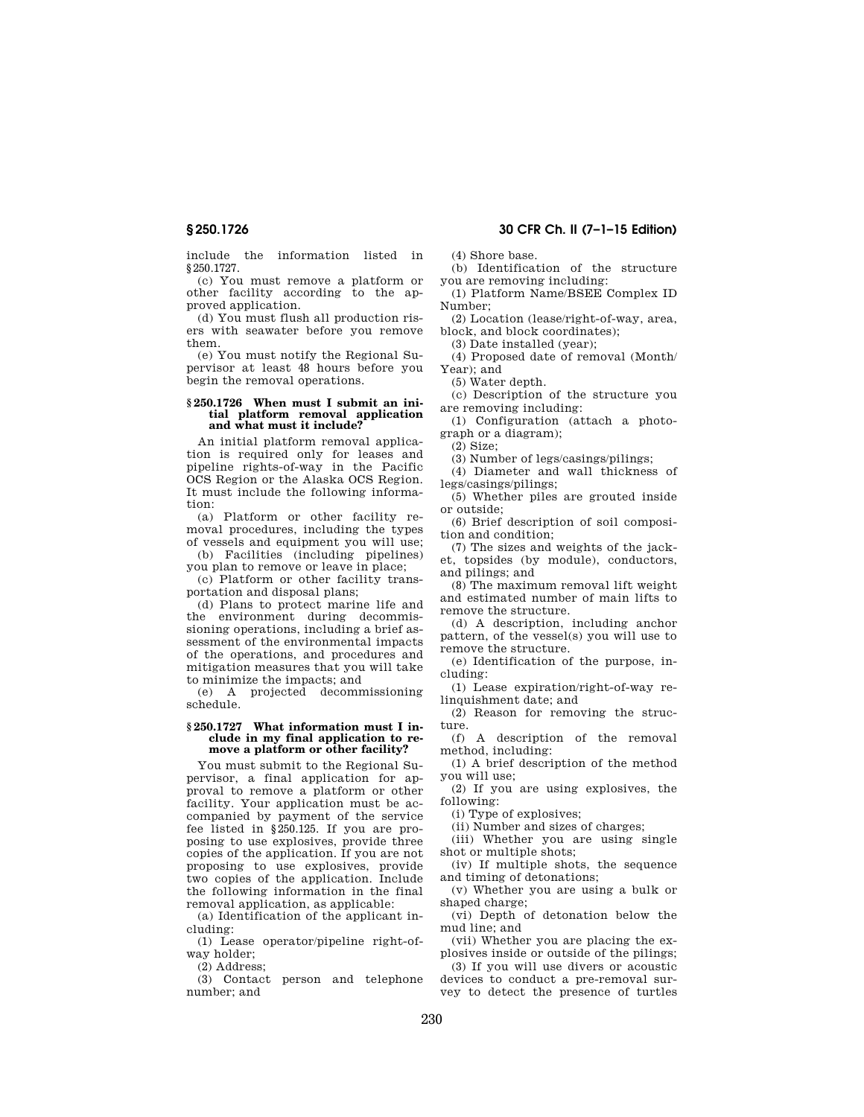include the information listed in §250.1727.

(c) You must remove a platform or other facility according to the approved application.

(d) You must flush all production risers with seawater before you remove them.

(e) You must notify the Regional Supervisor at least 48 hours before you begin the removal operations.

## **§ 250.1726 When must I submit an initial platform removal application and what must it include?**

An initial platform removal application is required only for leases and pipeline rights-of-way in the Pacific OCS Region or the Alaska OCS Region. It must include the following information:

(a) Platform or other facility removal procedures, including the types of vessels and equipment you will use;

(b) Facilities (including pipelines) you plan to remove or leave in place;

(c) Platform or other facility transportation and disposal plans;

(d) Plans to protect marine life and the environment during decommissioning operations, including a brief assessment of the environmental impacts of the operations, and procedures and mitigation measures that you will take to minimize the impacts; and

(e) A projected decommissioning schedule.

## **§ 250.1727 What information must I include in my final application to remove a platform or other facility?**

You must submit to the Regional Supervisor, a final application for approval to remove a platform or other facility. Your application must be accompanied by payment of the service fee listed in §250.125. If you are proposing to use explosives, provide three copies of the application. If you are not proposing to use explosives, provide two copies of the application. Include the following information in the final removal application, as applicable:

(a) Identification of the applicant including:

(1) Lease operator/pipeline right-ofway holder;

(2) Address;

(3) Contact person and telephone number; and

**§ 250.1726 30 CFR Ch. II (7–1–15 Edition)** 

(4) Shore base.

(b) Identification of the structure you are removing including:

(1) Platform Name/BSEE Complex ID Number;

(2) Location (lease/right-of-way, area, block, and block coordinates);

(3) Date installed (year);

(4) Proposed date of removal (Month/ Year); and

(5) Water depth.

(c) Description of the structure you are removing including:

(1) Configuration (attach a photograph or a diagram);

(2) Size;

(3) Number of legs/casings/pilings;

(4) Diameter and wall thickness of legs/casings/pilings;

(5) Whether piles are grouted inside or outside;

(6) Brief description of soil composition and condition;

(7) The sizes and weights of the jacket, topsides (by module), conductors, and pilings; and

(8) The maximum removal lift weight and estimated number of main lifts to remove the structure.

(d) A description, including anchor pattern, of the vessel(s) you will use to remove the structure.

(e) Identification of the purpose, including:

(1) Lease expiration/right-of-way relinquishment date; and

(2) Reason for removing the structure.

(f) A description of the removal method, including:

(1) A brief description of the method you will use;

(2) If you are using explosives, the following:

(i) Type of explosives;

(ii) Number and sizes of charges;

(iii) Whether you are using single shot or multiple shots;

(iv) If multiple shots, the sequence and timing of detonations;

(v) Whether you are using a bulk or shaped charge;

(vi) Depth of detonation below the mud line; and

(vii) Whether you are placing the explosives inside or outside of the pilings;

(3) If you will use divers or acoustic devices to conduct a pre-removal survey to detect the presence of turtles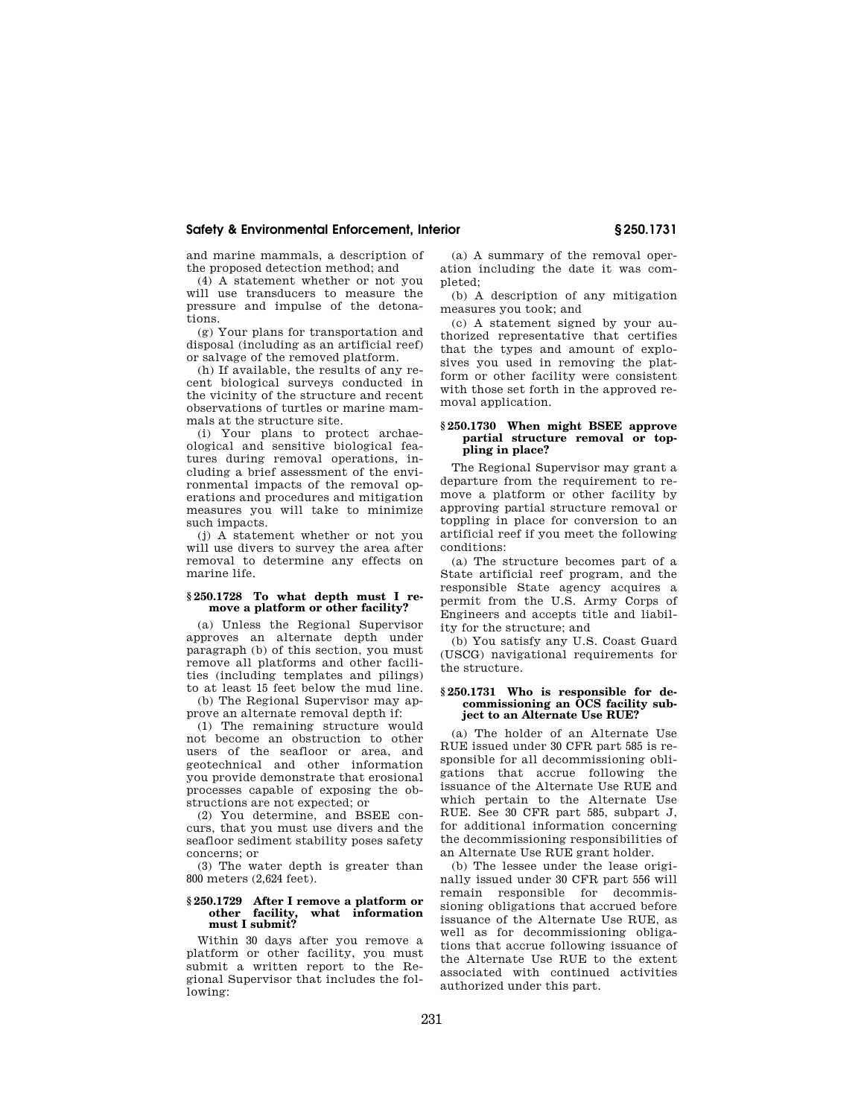and marine mammals, a description of the proposed detection method; and

(4) A statement whether or not you will use transducers to measure the pressure and impulse of the detonations.

(g) Your plans for transportation and disposal (including as an artificial reef) or salvage of the removed platform.

(h) If available, the results of any recent biological surveys conducted in the vicinity of the structure and recent observations of turtles or marine mammals at the structure site.

(i) Your plans to protect archaeological and sensitive biological features during removal operations, including a brief assessment of the environmental impacts of the removal operations and procedures and mitigation measures you will take to minimize such impacts.

(j) A statement whether or not you will use divers to survey the area after removal to determine any effects on marine life.

# **§ 250.1728 To what depth must I remove a platform or other facility?**

(a) Unless the Regional Supervisor approves an alternate depth under paragraph (b) of this section, you must remove all platforms and other facilities (including templates and pilings) to at least 15 feet below the mud line.

(b) The Regional Supervisor may approve an alternate removal depth if:

(1) The remaining structure would not become an obstruction to other users of the seafloor or area, and geotechnical and other information you provide demonstrate that erosional processes capable of exposing the obstructions are not expected; or

(2) You determine, and BSEE concurs, that you must use divers and the seafloor sediment stability poses safety concerns; or

(3) The water depth is greater than 800 meters (2,624 feet).

### **§ 250.1729 After I remove a platform or**  what information **must I submit?**

Within 30 days after you remove a platform or other facility, you must submit a written report to the Regional Supervisor that includes the following:

(a) A summary of the removal operation including the date it was completed;

(b) A description of any mitigation measures you took; and

(c) A statement signed by your authorized representative that certifies that the types and amount of explosives you used in removing the platform or other facility were consistent with those set forth in the approved removal application.

## **§ 250.1730 When might BSEE approve partial structure removal or toppling in place?**

The Regional Supervisor may grant a departure from the requirement to remove a platform or other facility by approving partial structure removal or toppling in place for conversion to an artificial reef if you meet the following conditions:

(a) The structure becomes part of a State artificial reef program, and the responsible State agency acquires a permit from the U.S. Army Corps of Engineers and accepts title and liability for the structure; and

(b) You satisfy any U.S. Coast Guard (USCG) navigational requirements for the structure.

### **§ 250.1731 Who is responsible for decommissioning an OCS facility subject to an Alternate Use RUE?**

(a) The holder of an Alternate Use RUE issued under 30 CFR part 585 is responsible for all decommissioning obligations that accrue following the issuance of the Alternate Use RUE and which pertain to the Alternate Use RUE. See 30 CFR part 585, subpart J, for additional information concerning the decommissioning responsibilities of an Alternate Use RUE grant holder.

(b) The lessee under the lease originally issued under 30 CFR part 556 will remain responsible for decommissioning obligations that accrued before issuance of the Alternate Use RUE, as well as for decommissioning obligations that accrue following issuance of the Alternate Use RUE to the extent associated with continued activities authorized under this part.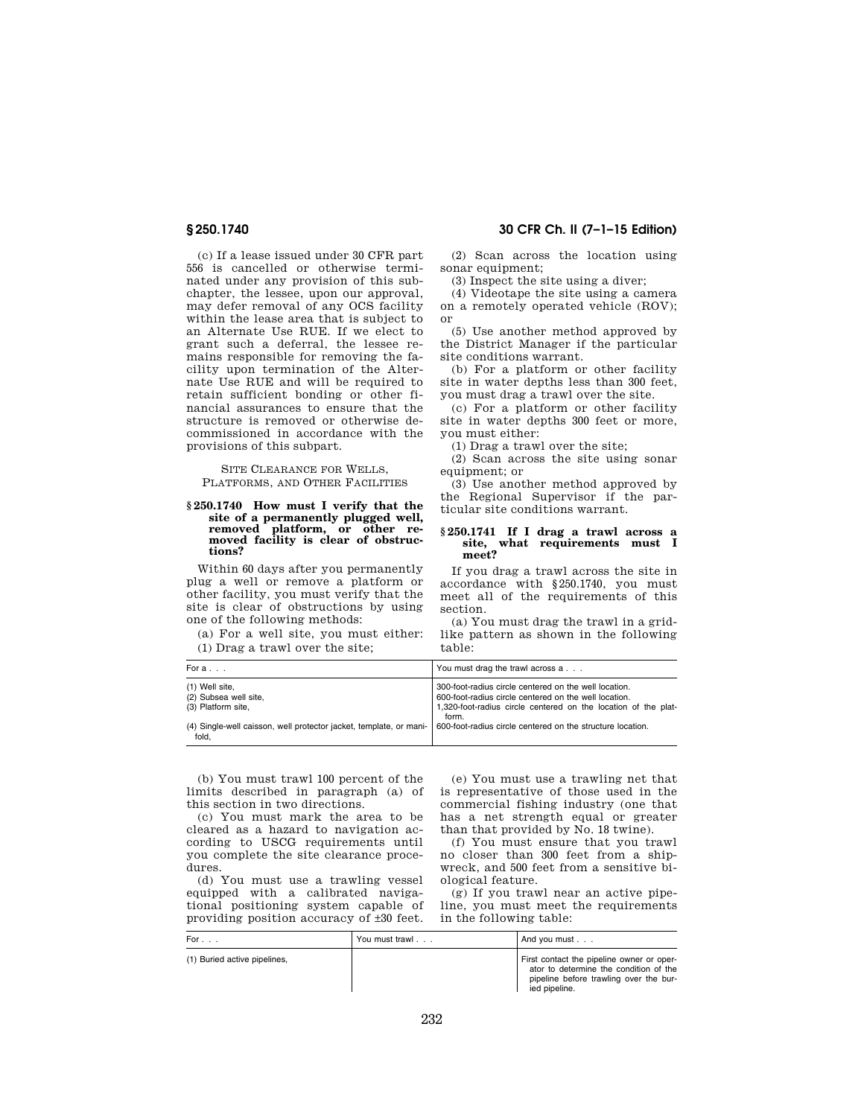(c) If a lease issued under 30 CFR part 556 is cancelled or otherwise terminated under any provision of this subchapter, the lessee, upon our approval, may defer removal of any OCS facility within the lease area that is subject to an Alternate Use RUE. If we elect to grant such a deferral, the lessee remains responsible for removing the facility upon termination of the Alternate Use RUE and will be required to retain sufficient bonding or other financial assurances to ensure that the structure is removed or otherwise decommissioned in accordance with the provisions of this subpart.

SITE CLEARANCE FOR WELLS, PLATFORMS, AND OTHER FACILITIES

#### **§ 250.1740 How must I verify that the site of a permanently plugged well, removed platform, or other removed facility is clear of obstructions?**

Within 60 days after you permanently plug a well or remove a platform or other facility, you must verify that the site is clear of obstructions by using one of the following methods:

(a) For a well site, you must either: (1) Drag a trawl over the site;

## **§ 250.1740 30 CFR Ch. II (7–1–15 Edition)**

(2) Scan across the location using sonar equipment;

(3) Inspect the site using a diver;

(4) Videotape the site using a camera on a remotely operated vehicle (ROV); or

(5) Use another method approved by the District Manager if the particular site conditions warrant.

(b) For a platform or other facility site in water depths less than 300 feet, you must drag a trawl over the site.

(c) For a platform or other facility site in water depths 300 feet or more, you must either:

(1) Drag a trawl over the site;

(2) Scan across the site using sonar equipment; or

(3) Use another method approved by the Regional Supervisor if the particular site conditions warrant.

## **§ 250.1741 If I drag a trawl across a site, what requirements must I meet?**

If you drag a trawl across the site in accordance with §250.1740, you must meet all of the requirements of this section.

(a) You must drag the trawl in a gridlike pattern as shown in the following table:

| For a                                                                                                                                    | You must drag the trawl across a                                                                                                                                                          |
|------------------------------------------------------------------------------------------------------------------------------------------|-------------------------------------------------------------------------------------------------------------------------------------------------------------------------------------------|
| (1) Well site,<br>(2) Subsea well site,<br>(3) Platform site,                                                                            | 300-foot-radius circle centered on the well location.<br>600-foot-radius circle centered on the well location.<br>1,320-foot-radius circle centered on the location of the plat-<br>form. |
| (4) Single-well caisson, well protector jacket, template, or mani-   600-foot-radius circle centered on the structure location.<br>fold. |                                                                                                                                                                                           |

(b) You must trawl 100 percent of the limits described in paragraph (a) of this section in two directions.

(c) You must mark the area to be cleared as a hazard to navigation according to USCG requirements until you complete the site clearance procedures.

(d) You must use a trawling vessel equipped with a calibrated navigational positioning system capable of providing position accuracy of ±30 feet.

(e) You must use a trawling net that is representative of those used in the commercial fishing industry (one that has a net strength equal or greater than that provided by No. 18 twine).

(f) You must ensure that you trawl no closer than 300 feet from a shipwreck, and 500 feet from a sensitive biological feature.

(g) If you trawl near an active pipeline, you must meet the requirements in the following table:

| For $\ldots$                 | You must trawl | And you must $\ldots$                                                                                                                          |
|------------------------------|----------------|------------------------------------------------------------------------------------------------------------------------------------------------|
| (1) Buried active pipelines, |                | First contact the pipeline owner or oper-<br>ator to determine the condition of the<br>pipeline before trawling over the bur-<br>ied pipeline. |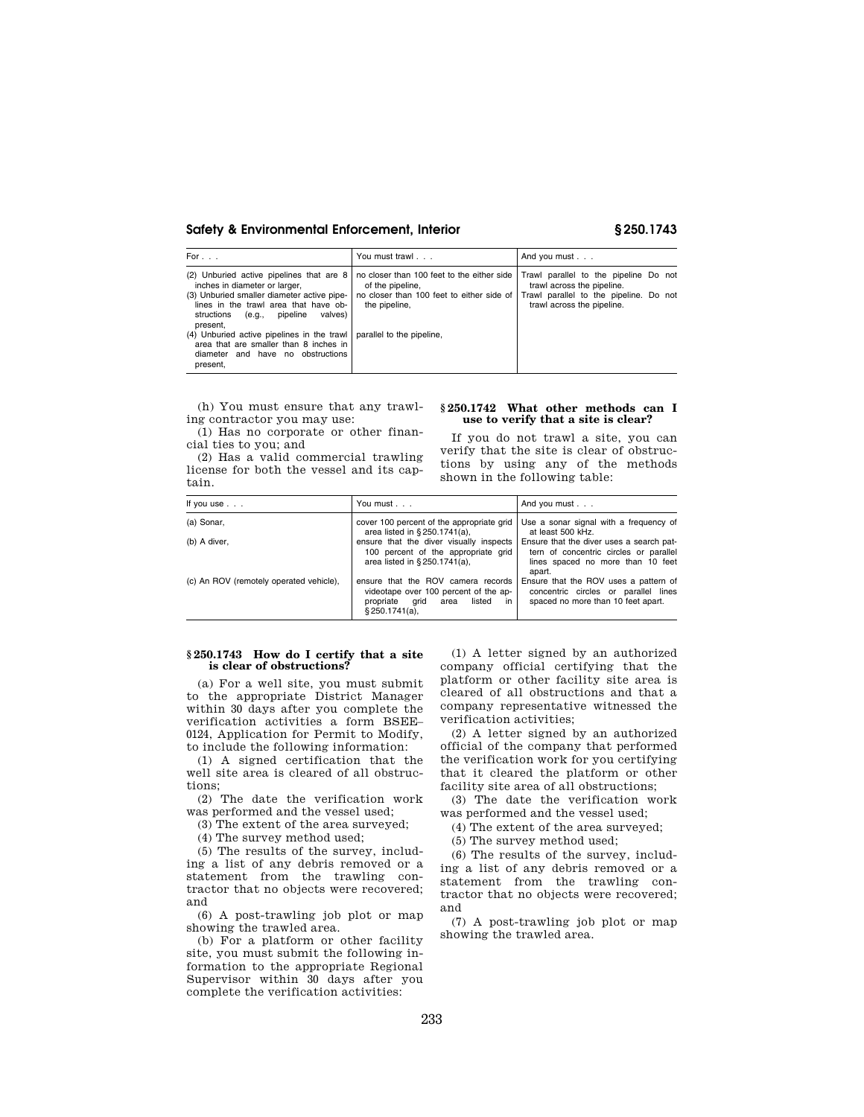| For $\ldots$                                                                                                                                                                                                             | You must trawl                    | And you must                                                                                                                                                                                                                       |
|--------------------------------------------------------------------------------------------------------------------------------------------------------------------------------------------------------------------------|-----------------------------------|------------------------------------------------------------------------------------------------------------------------------------------------------------------------------------------------------------------------------------|
| (2) Unburied active pipelines that are 8<br>inches in diameter or larger,<br>(3) Unburied smaller diameter active pipe-<br>lines in the trawl area that have ob-<br>valves)<br>structions<br>(e.g., pipeline<br>present. | of the pipeline,<br>the pipeline, | no closer than 100 feet to the either side   Trawl parallel to the pipeline Do not<br>trawl across the pipeline.<br>no closer than 100 feet to either side of Trawl parallel to the pipeline. Do not<br>trawl across the pipeline. |
| (4) Unburied active pipelines in the trawl<br>area that are smaller than 8 inches in<br>diameter and have no obstructions<br>present,                                                                                    | parallel to the pipeline,         |                                                                                                                                                                                                                                    |

(h) You must ensure that any trawling contractor you may use:

(1) Has no corporate or other financial ties to you; and

(2) Has a valid commercial trawling license for both the vessel and its captain.

# **§ 250.1742 What other methods can I use to verify that a site is clear?**

If you do not trawl a site, you can verify that the site is clear of obstructions by using any of the methods shown in the following table:

| If you use $\ldots$                     | You must                                                                                                                                   | And you must                                                                                                                      |
|-----------------------------------------|--------------------------------------------------------------------------------------------------------------------------------------------|-----------------------------------------------------------------------------------------------------------------------------------|
| (a) Sonar,                              | cover 100 percent of the appropriate grid<br>area listed in §250.1741(a),                                                                  | Use a sonar signal with a frequency of<br>at least 500 kHz.                                                                       |
| (b) A diver,                            | ensure that the diver visually inspects<br>100 percent of the appropriate grid<br>area listed in §250.1741(a),                             | Ensure that the diver uses a search pat-<br>tern of concentric circles or parallel<br>lines spaced no more than 10 feet<br>apart. |
| (c) An ROV (remotely operated vehicle), | ensure that the ROV camera records<br>videotape over 100 percent of the ap-<br>in<br>propriate<br>listed<br>grid<br>area<br>§ 250.1741(a). | Ensure that the ROV uses a pattern of<br>concentric circles or parallel lines<br>spaced no more than 10 feet apart.               |

## **§ 250.1743 How do I certify that a site is clear of obstructions?**

(a) For a well site, you must submit to the appropriate District Manager within 30 days after you complete the verification activities a form BSEE– 0124, Application for Permit to Modify, to include the following information:

(1) A signed certification that the well site area is cleared of all obstructions;

(2) The date the verification work was performed and the vessel used;

(3) The extent of the area surveyed;

(4) The survey method used;

(5) The results of the survey, including a list of any debris removed or a statement from the trawling contractor that no objects were recovered; and

(6) A post-trawling job plot or map showing the trawled area.

(b) For a platform or other facility site, you must submit the following information to the appropriate Regional Supervisor within 30 days after you complete the verification activities:

(1) A letter signed by an authorized company official certifying that the platform or other facility site area is cleared of all obstructions and that a company representative witnessed the verification activities;

(2) A letter signed by an authorized official of the company that performed the verification work for you certifying that it cleared the platform or other facility site area of all obstructions;

(3) The date the verification work was performed and the vessel used;

(4) The extent of the area surveyed;

(5) The survey method used;

(6) The results of the survey, including a list of any debris removed or a statement from the trawling contractor that no objects were recovered; and

(7) A post-trawling job plot or map showing the trawled area.